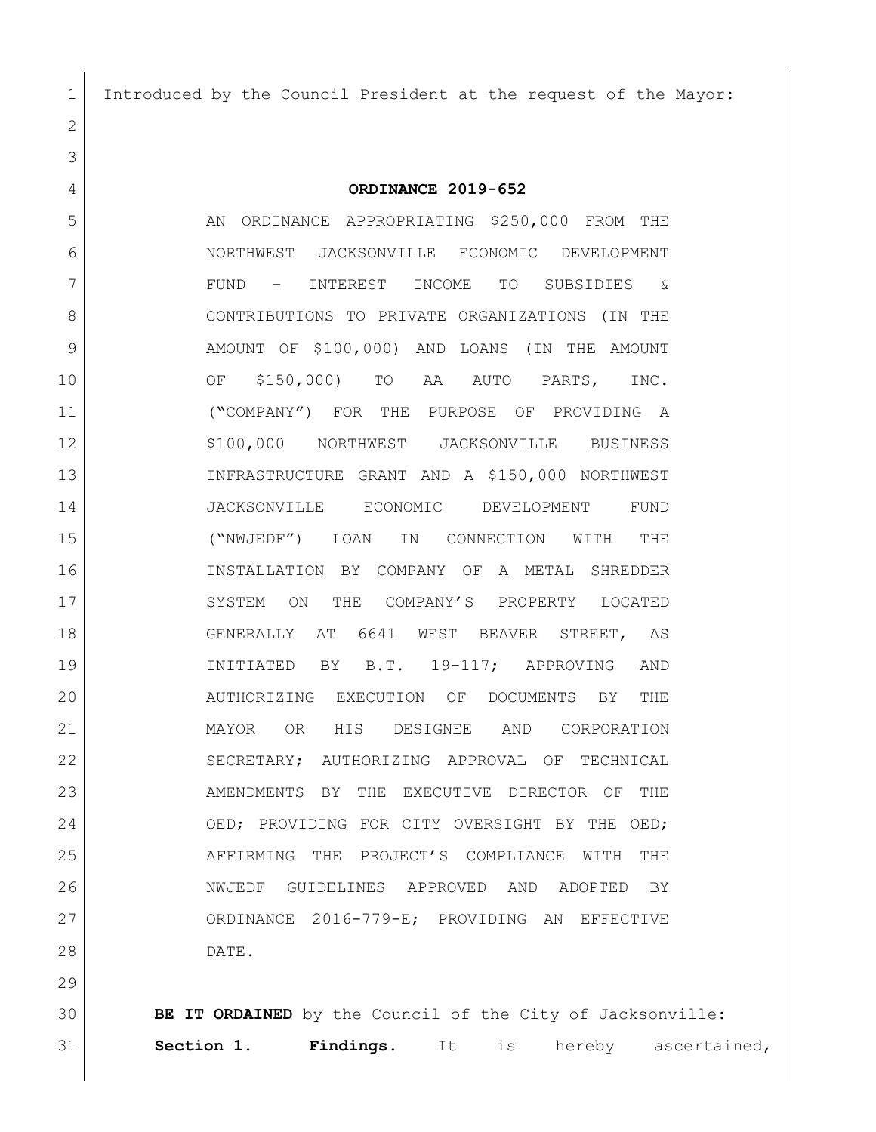Introduced by the Council President at the request of the Mayor:

 **ORDINANCE 2019-652** 5 AN ORDINANCE APPROPRIATING \$250,000 FROM THE NORTHWEST JACKSONVILLE ECONOMIC DEVELOPMENT FUND – INTEREST INCOME TO SUBSIDIES & CONTRIBUTIONS TO PRIVATE ORGANIZATIONS (IN THE 9 AMOUNT OF \$100,000) AND LOANS (IN THE AMOUNT OF \$150,000) TO AA AUTO PARTS, INC. ("COMPANY") FOR THE PURPOSE OF PROVIDING A 12 | \$100,000 NORTHWEST JACKSONVILLE BUSINESS INFRASTRUCTURE GRANT AND A \$150,000 NORTHWEST JACKSONVILLE ECONOMIC DEVELOPMENT FUND ("NWJEDF") LOAN IN CONNECTION WITH THE INSTALLATION BY COMPANY OF A METAL SHREDDER 17 SYSTEM ON THE COMPANY'S PROPERTY LOCATED GENERALLY AT 6641 WEST BEAVER STREET, AS INITIATED BY B.T. 19-117; APPROVING AND AUTHORIZING EXECUTION OF DOCUMENTS BY THE MAYOR OR HIS DESIGNEE AND CORPORATION SECRETARY; AUTHORIZING APPROVAL OF TECHNICAL 23 AMENDMENTS BY THE EXECUTIVE DIRECTOR OF THE 24 OED; PROVIDING FOR CITY OVERSIGHT BY THE OED; 25 AFFIRMING THE PROJECT'S COMPLIANCE WITH THE NWJEDF GUIDELINES APPROVED AND ADOPTED BY ORDINANCE 2016-779-E; PROVIDING AN EFFECTIVE

DATE.

 **BE IT ORDAINED** by the Council of the City of Jacksonville: **Section 1. Findings**. It is hereby ascertained,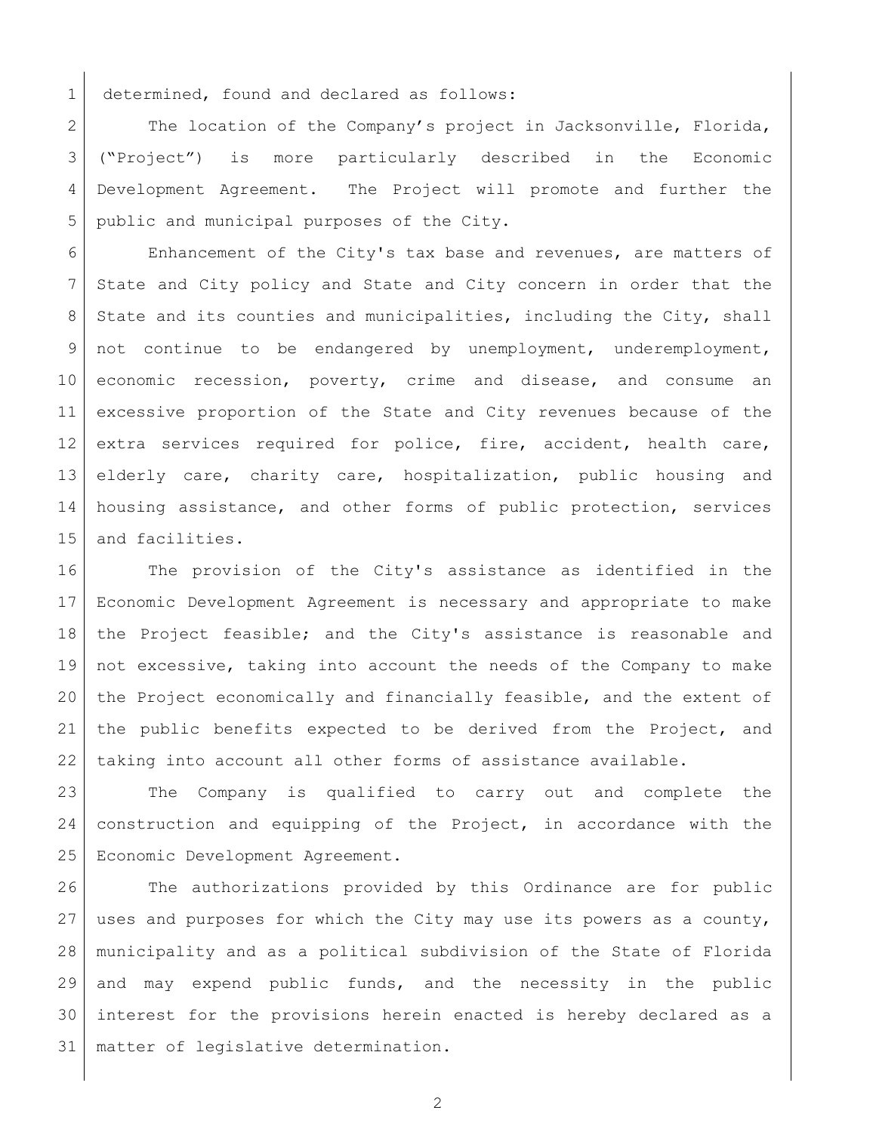1 determined, found and declared as follows:

2 The location of the Company's project in Jacksonville, Florida, ("Project") is more particularly described in the Economic Development Agreement. The Project will promote and further the public and municipal purposes of the City.

 Enhancement of the City's tax base and revenues, are matters of State and City policy and State and City concern in order that the 8 State and its counties and municipalities, including the City, shall 9 not continue to be endangered by unemployment, underemployment, economic recession, poverty, crime and disease, and consume an excessive proportion of the State and City revenues because of the extra services required for police, fire, accident, health care, elderly care, charity care, hospitalization, public housing and housing assistance, and other forms of public protection, services and facilities.

 The provision of the City's assistance as identified in the Economic Development Agreement is necessary and appropriate to make the Project feasible; and the City's assistance is reasonable and not excessive, taking into account the needs of the Company to make the Project economically and financially feasible, and the extent of the public benefits expected to be derived from the Project, and taking into account all other forms of assistance available.

 The Company is qualified to carry out and complete the construction and equipping of the Project, in accordance with the Economic Development Agreement.

26 The authorizations provided by this Ordinance are for public uses and purposes for which the City may use its powers as a county, municipality and as a political subdivision of the State of Florida and may expend public funds, and the necessity in the public interest for the provisions herein enacted is hereby declared as a matter of legislative determination.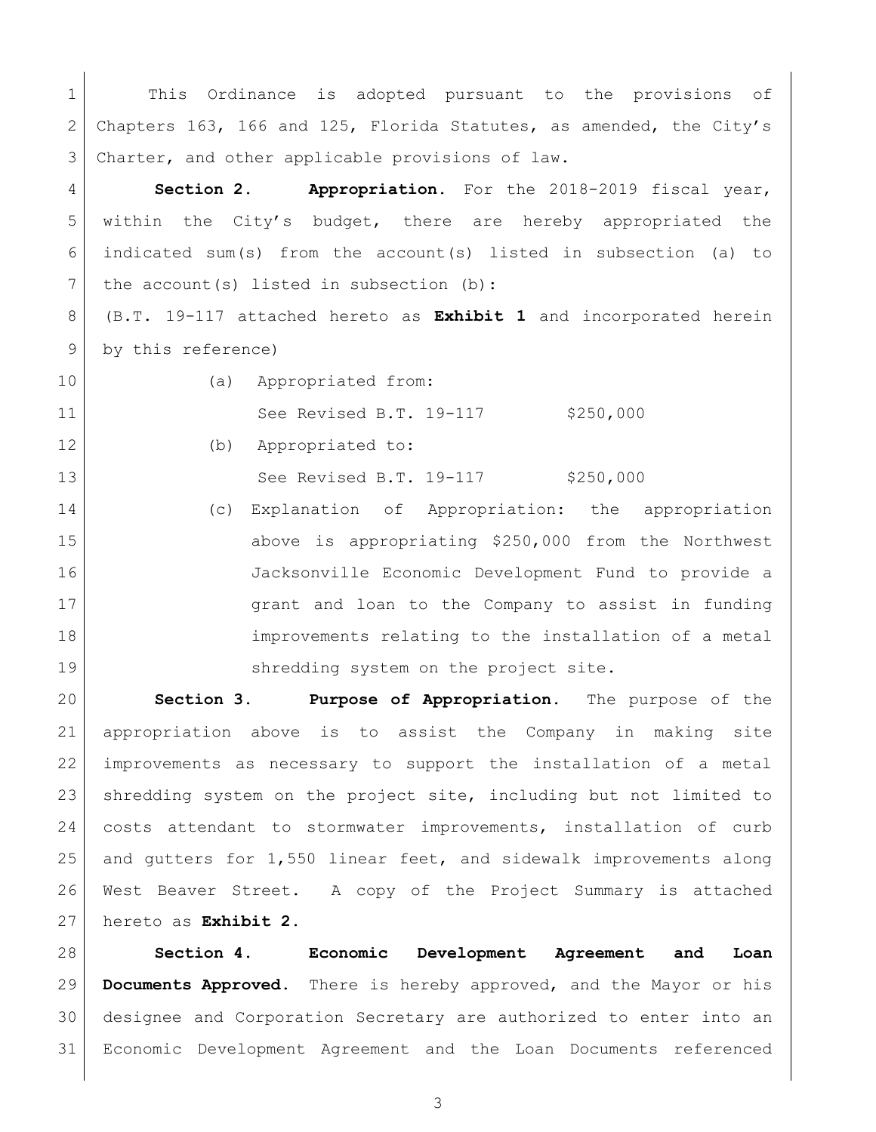1 This Ordinance is adopted pursuant to the provisions of Chapters 163, 166 and 125, Florida Statutes, as amended, the City's 3 Charter, and other applicable provisions of law.

 **Section 2. Appropriation.** For the 2018-2019 fiscal year, within the City's budget, there are hereby appropriated the indicated sum(s) from the account(s) listed in subsection (a) to 7 the account(s) listed in subsection (b):

 (B.T. 19-117 attached hereto as **Exhibit 1** and incorporated herein 9 by this reference)

10 | (a) Appropriated from: 11 See Revised B.T. 19-117 \$250,000

 (b) Appropriated to: 13 See Revised B.T. 19-117 \$250,000

 (c) Explanation of Appropriation: the appropriation 15 above is appropriating \$250,000 from the Northwest Jacksonville Economic Development Fund to provide a 17 | Grant and loan to the Company to assist in funding improvements relating to the installation of a metal 19 Shredding system on the project site.

 **Section 3. Purpose of Appropriation.** The purpose of the appropriation above is to assist the Company in making site improvements as necessary to support the installation of a metal 23 | shredding system on the project site, including but not limited to costs attendant to stormwater improvements, installation of curb and gutters for 1,550 linear feet, and sidewalk improvements along West Beaver Street. A copy of the Project Summary is attached hereto as **Exhibit 2**.

 **Section 4. Economic Development Agreement and Loan Documents Approved**. There is hereby approved, and the Mayor or his designee and Corporation Secretary are authorized to enter into an Economic Development Agreement and the Loan Documents referenced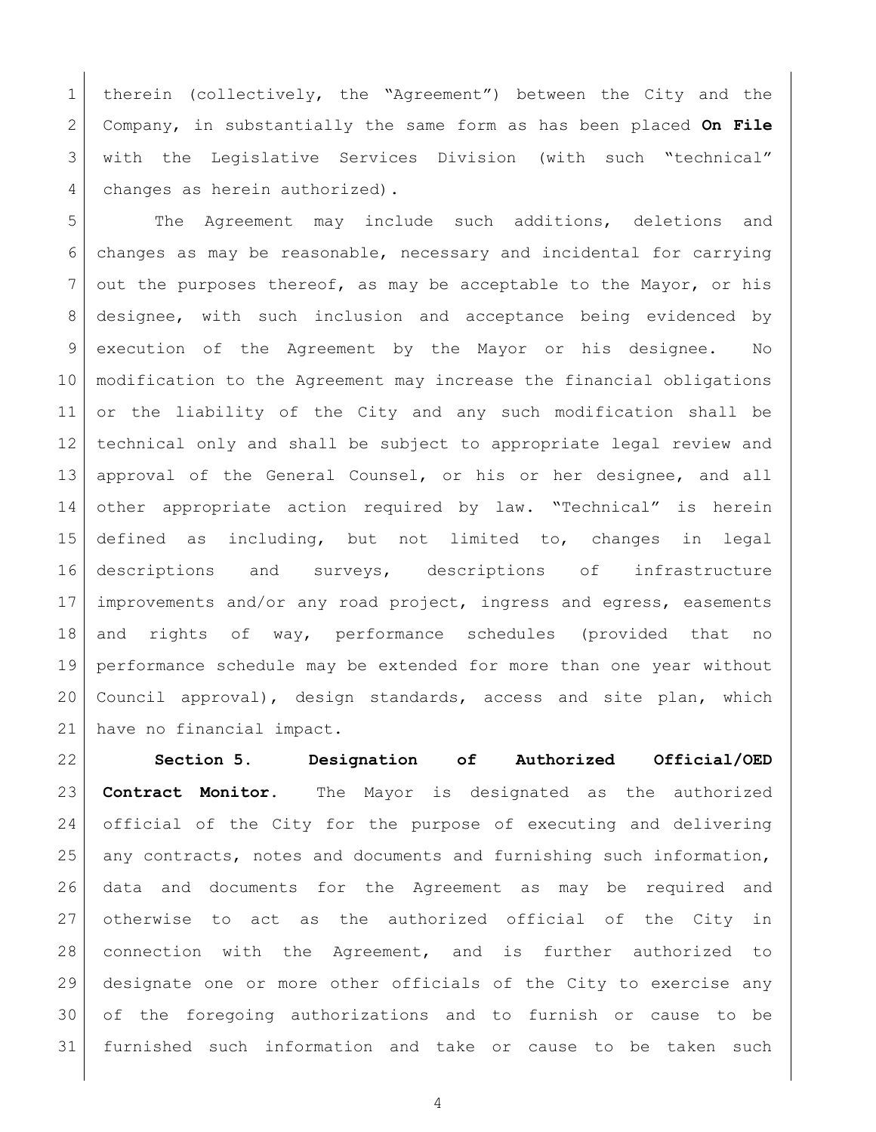therein (collectively, the "Agreement") between the City and the Company, in substantially the same form as has been placed **On File** 3 with the Legislative Services Division (with such "technical" 4 changes as herein authorized).

 The Agreement may include such additions, deletions and changes as may be reasonable, necessary and incidental for carrying out the purposes thereof, as may be acceptable to the Mayor, or his designee, with such inclusion and acceptance being evidenced by 9 execution of the Agreement by the Mayor or his designee. No modification to the Agreement may increase the financial obligations or the liability of the City and any such modification shall be technical only and shall be subject to appropriate legal review and approval of the General Counsel, or his or her designee, and all other appropriate action required by law. "Technical" is herein defined as including, but not limited to, changes in legal descriptions and surveys, descriptions of infrastructure improvements and/or any road project, ingress and egress, easements and rights of way, performance schedules (provided that no performance schedule may be extended for more than one year without 20 Council approval), design standards, access and site plan, which have no financial impact.

 **Section 5. Designation of Authorized Official/OED Contract Monitor.** The Mayor is designated as the authorized official of the City for the purpose of executing and delivering any contracts, notes and documents and furnishing such information, data and documents for the Agreement as may be required and 27 otherwise to act as the authorized official of the City in connection with the Agreement, and is further authorized to designate one or more other officials of the City to exercise any of the foregoing authorizations and to furnish or cause to be furnished such information and take or cause to be taken such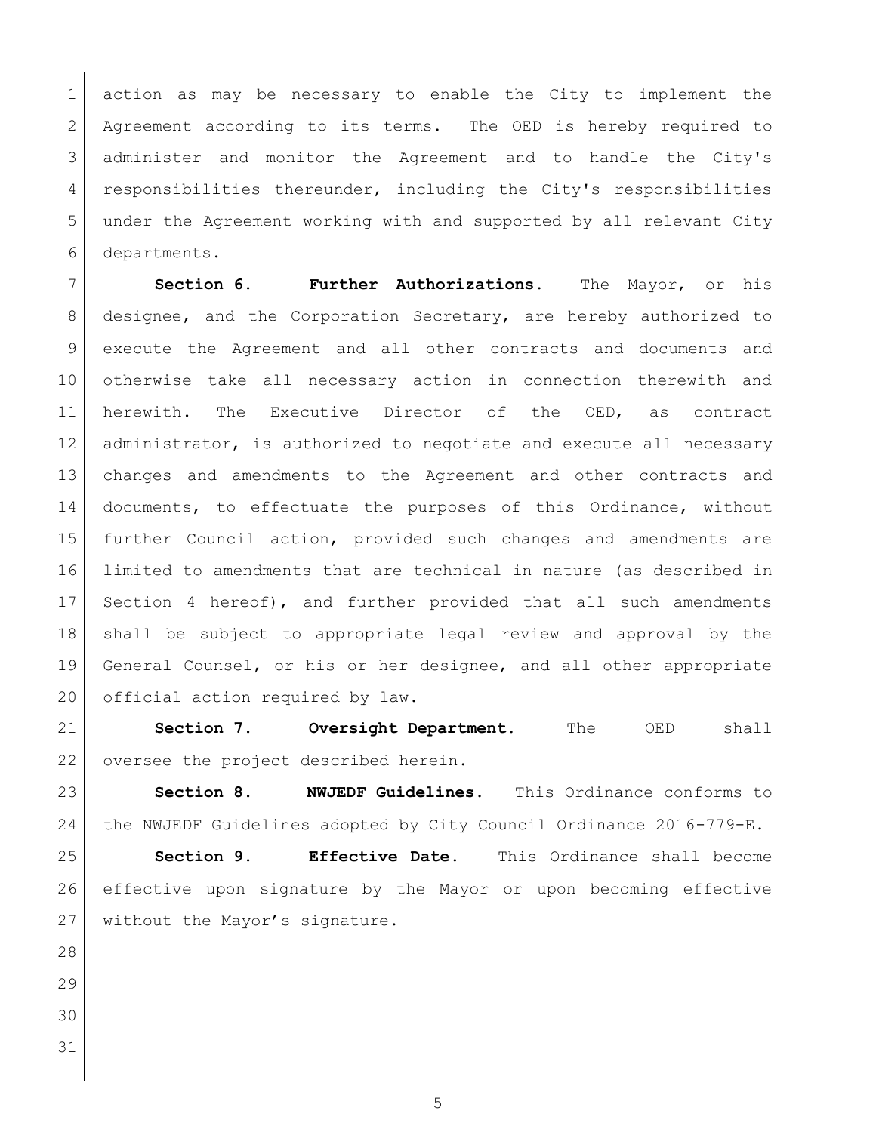action as may be necessary to enable the City to implement the Agreement according to its terms. The OED is hereby required to administer and monitor the Agreement and to handle the City's 4 responsibilities thereunder, including the City's responsibilities under the Agreement working with and supported by all relevant City departments.

 **Section 6. Further Authorizations.** The Mayor, or his designee, and the Corporation Secretary, are hereby authorized to execute the Agreement and all other contracts and documents and otherwise take all necessary action in connection therewith and herewith. The Executive Director of the OED, as contract 12 administrator, is authorized to negotiate and execute all necessary changes and amendments to the Agreement and other contracts and documents, to effectuate the purposes of this Ordinance, without further Council action, provided such changes and amendments are limited to amendments that are technical in nature (as described in Section 4 hereof), and further provided that all such amendments shall be subject to appropriate legal review and approval by the General Counsel, or his or her designee, and all other appropriate 20 official action required by law.

 **Section 7. Oversight Department.** The OED shall 22 oversee the project described herein.

 **Section 8. NWJEDF Guidelines.** This Ordinance conforms to 24 the NWJEDF Guidelines adopted by City Council Ordinance 2016-779-E.

 **Section 9. Effective Date.** This Ordinance shall become effective upon signature by the Mayor or upon becoming effective 27 without the Mayor's signature.

- 
- 
-